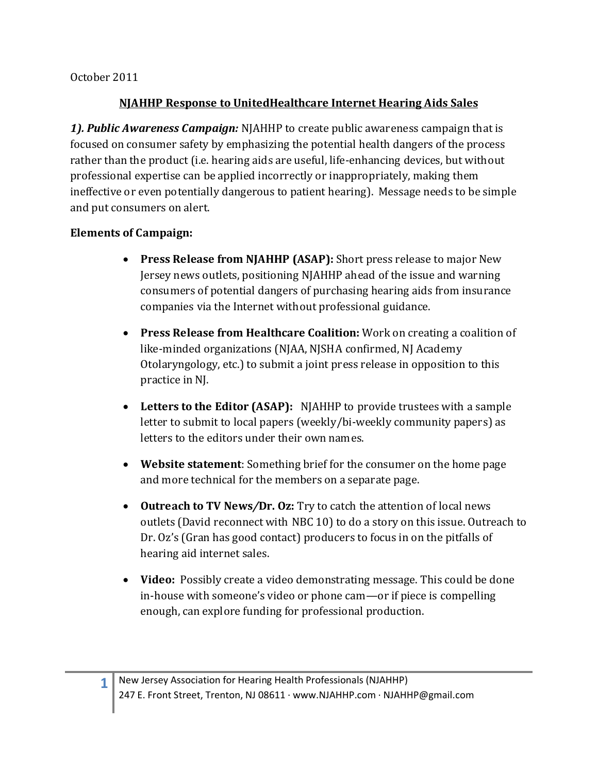October 2011

## **NJAHHP Response to UnitedHealthcare Internet Hearing Aids Sales**

*1). Public Awareness Campaign:* NJAHHP to create public awareness campaign that is focused on consumer safety by emphasizing the potential health dangers of the process rather than the product (i.e. hearing aids are useful, life-enhancing devices, but without professional expertise can be applied incorrectly or inappropriately, making them ineffective or even potentially dangerous to patient hearing). Message needs to be simple and put consumers on alert.

## **Elements of Campaign:**

- · **Press Release from NJAHHP (ASAP):** Short press release to major New Jersey news outlets, positioning NJAHHP ahead of the issue and warning consumers of potential dangers of purchasing hearing aids from insurance companies via the Internet without professional guidance.
- · **Press Release from Healthcare Coalition:** Work on creating a coalition of like-minded organizations (NJAA, NJSHA confirmed, NJ Academy Otolaryngology, etc.) to submit a joint press release in opposition to this practice in NJ.
- · **Letters to the Editor (ASAP):** NJAHHP to provide trustees with a sample letter to submit to local papers (weekly/bi-weekly community papers) as letters to the editors under their own names.
- · **Website statement**: Something brief for the consumer on the home page and more technical for the members on a separate page.
- · **Outreach to TV News***/***Dr. Oz:** Try to catch the attention of local news outlets (David reconnect with NBC 10) to do a story on this issue. Outreach to Dr. Oz's (Gran has good contact) producers to focus in on the pitfalls of hearing aid internet sales.
- · **Video:** Possibly create a video demonstrating message. This could be done in-house with someone's video or phone cam—or if piece is compelling enough, can explore funding for professional production.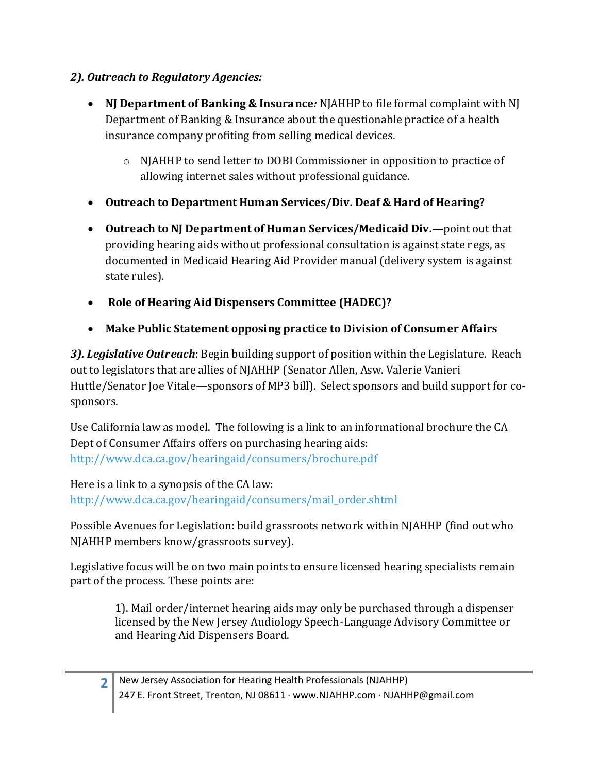## *2). Outreach to Regulatory Agencies:*

- · **NJ Department of Banking & Insurance***:* NJAHHP to file formal complaint with NJ Department of Banking & Insurance about the questionable practice of a health insurance company profiting from selling medical devices.
	- o NJAHHP to send letter to DOBI Commissioner in opposition to practice of allowing internet sales without professional guidance.
- · **Outreach to Department Human Services/Div. Deaf & Hard of Hearing?**
- · **Outreach to NJ Department of Human Services/Medicaid Div.—**point out that providing hearing aids without professional consultation is against state regs, as documented in Medicaid Hearing Aid Provider manual (delivery system is against state rules).
- · **Role of Hearing Aid Dispensers Committee (HADEC)?**
- · **Make Public Statement opposing practice to Division of Consumer Affairs**

*3). Legislative Outreach*: Begin building support of position within the Legislature. Reach out to legislators that are allies of NJAHHP (Senator Allen, Asw. Valerie Vanieri Huttle/Senator Joe Vitale—sponsors of MP3 bill). Select sponsors and build support for cosponsors.

Use California law as model. The following is a link to an informational brochure the CA Dept of Consumer Affairs offers on purchasing hearing aids: http://www.dca.ca.gov/hearingaid/consumers/brochure.pdf

Here is a link to a synopsis of the CA law: http://www.dca.ca.gov/hearingaid/consumers/mail\_order.shtml

Possible Avenues for Legislation: build grassroots network within NJAHHP (find out who NJAHHP members know/grassroots survey).

Legislative focus will be on two main points to ensure licensed hearing specialists remain part of the process. These points are:

> 1). Mail order/internet hearing aids may only be purchased through a dispenser licensed by the New Jersey Audiology Speech-Language Advisory Committee or and Hearing Aid Dispensers Board.